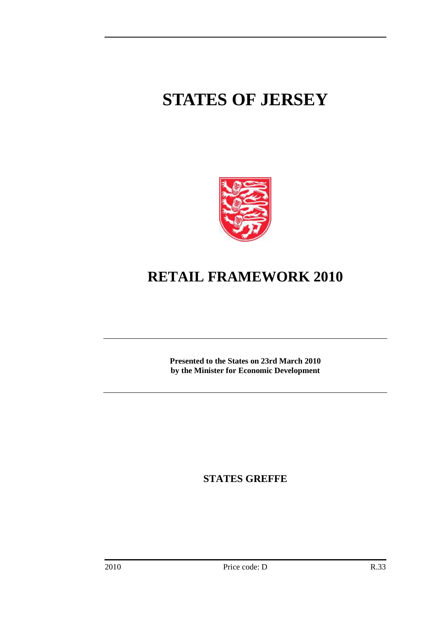# **STATES OF JERSEY**



# **RETAIL FRAMEWORK 2010**

**Presented to the States on 23rd March 2010 by the Minister for Economic Development** 

**STATES GREFFE**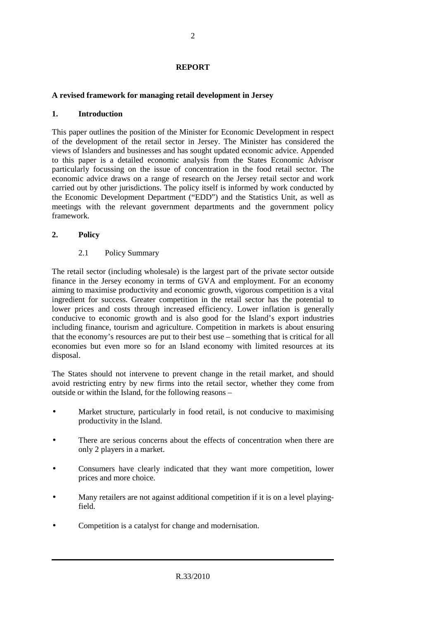#### **REPORT**

#### **A revised framework for managing retail development in Jersey**

#### **1. Introduction**

This paper outlines the position of the Minister for Economic Development in respect of the development of the retail sector in Jersey. The Minister has considered the views of Islanders and businesses and has sought updated economic advice. Appended to this paper is a detailed economic analysis from the States Economic Advisor particularly focussing on the issue of concentration in the food retail sector. The economic advice draws on a range of research on the Jersey retail sector and work carried out by other jurisdictions. The policy itself is informed by work conducted by the Economic Development Department ("EDD") and the Statistics Unit, as well as meetings with the relevant government departments and the government policy framework.

#### **2. Policy**

2.1 Policy Summary

The retail sector (including wholesale) is the largest part of the private sector outside finance in the Jersey economy in terms of GVA and employment. For an economy aiming to maximise productivity and economic growth, vigorous competition is a vital ingredient for success. Greater competition in the retail sector has the potential to lower prices and costs through increased efficiency. Lower inflation is generally conducive to economic growth and is also good for the Island's export industries including finance, tourism and agriculture. Competition in markets is about ensuring that the economy's resources are put to their best use – something that is critical for all economies but even more so for an Island economy with limited resources at its disposal.

The States should not intervene to prevent change in the retail market, and should avoid restricting entry by new firms into the retail sector, whether they come from outside or within the Island, for the following reasons –

- Market structure, particularly in food retail, is not conducive to maximising productivity in the Island.
- There are serious concerns about the effects of concentration when there are only 2 players in a market.
- Consumers have clearly indicated that they want more competition, lower prices and more choice.
- Many retailers are not against additional competition if it is on a level playingfield.
- Competition is a catalyst for change and modernisation.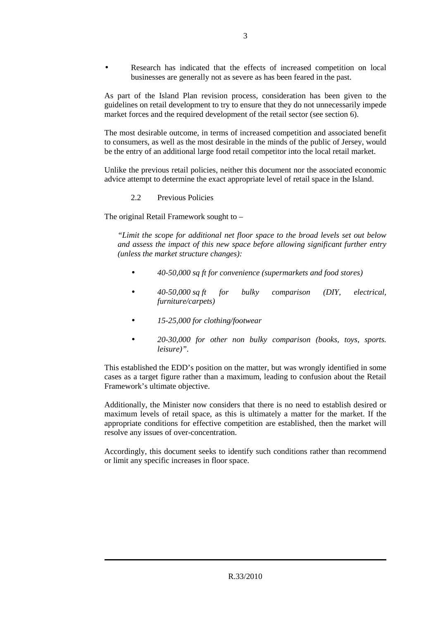Research has indicated that the effects of increased competition on local businesses are generally not as severe as has been feared in the past.

As part of the Island Plan revision process, consideration has been given to the guidelines on retail development to try to ensure that they do not unnecessarily impede market forces and the required development of the retail sector (see section 6).

The most desirable outcome, in terms of increased competition and associated benefit to consumers, as well as the most desirable in the minds of the public of Jersey, would be the entry of an additional large food retail competitor into the local retail market.

Unlike the previous retail policies, neither this document nor the associated economic advice attempt to determine the exact appropriate level of retail space in the Island.

2.2 Previous Policies

The original Retail Framework sought to –

*"Limit the scope for additional net floor space to the broad levels set out below and assess the impact of this new space before allowing significant further entry (unless the market structure changes):* 

- *40-50,000 sq ft for convenience (supermarkets and food stores)*
- *40-50,000 sq ft for bulky comparison (DIY, electrical, furniture/carpets)*
- *15-25,000 for clothing/footwear*
- *20-30,000 for other non bulky comparison (books, toys, sports. leisure)"*.

This established the EDD's position on the matter, but was wrongly identified in some cases as a target figure rather than a maximum, leading to confusion about the Retail Framework's ultimate objective.

Additionally, the Minister now considers that there is no need to establish desired or maximum levels of retail space, as this is ultimately a matter for the market. If the appropriate conditions for effective competition are established, then the market will resolve any issues of over-concentration.

Accordingly, this document seeks to identify such conditions rather than recommend or limit any specific increases in floor space.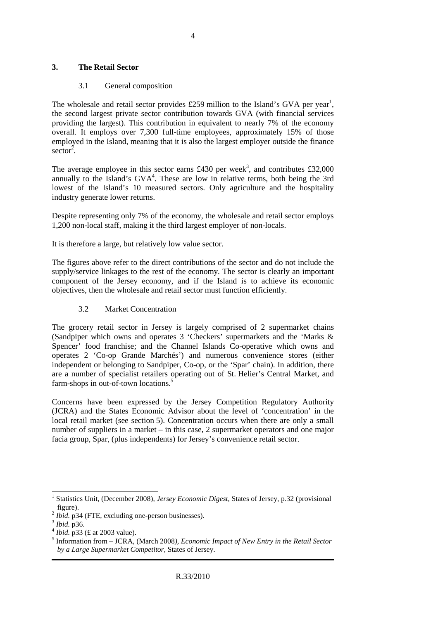#### **3. The Retail Sector**

#### 3.1 General composition

The wholesale and retail sector provides  $£259$  million to the Island's GVA per year<sup>1</sup>, the second largest private sector contribution towards GVA (with financial services providing the largest). This contribution in equivalent to nearly 7% of the economy overall. It employs over 7,300 full-time employees, approximately 15% of those employed in the Island, meaning that it is also the largest employer outside the finance sector<sup>2</sup>.

The average employee in this sector earns £430 per week<sup>3</sup>, and contributes £32,000 annually to the Island's  $GVA<sup>4</sup>$ . These are low in relative terms, both being the 3rd lowest of the Island's 10 measured sectors. Only agriculture and the hospitality industry generate lower returns.

Despite representing only 7% of the economy, the wholesale and retail sector employs 1,200 non-local staff, making it the third largest employer of non-locals.

It is therefore a large, but relatively low value sector.

The figures above refer to the direct contributions of the sector and do not include the supply/service linkages to the rest of the economy. The sector is clearly an important component of the Jersey economy, and if the Island is to achieve its economic objectives, then the wholesale and retail sector must function efficiently.

#### 3.2 Market Concentration

The grocery retail sector in Jersey is largely comprised of 2 supermarket chains (Sandpiper which owns and operates 3 'Checkers' supermarkets and the 'Marks & Spencer' food franchise; and the Channel Islands Co-operative which owns and operates 2 'Co-op Grande Marchés') and numerous convenience stores (either independent or belonging to Sandpiper, Co-op, or the 'Spar' chain). In addition, there are a number of specialist retailers operating out of St. Helier's Central Market, and farm-shops in out-of-town locations.<sup>5</sup>

Concerns have been expressed by the Jersey Competition Regulatory Authority (JCRA) and the States Economic Advisor about the level of 'concentration' in the local retail market (see section 5). Concentration occurs when there are only a small number of suppliers in a market – in this case, 2 supermarket operators and one major facia group, Spar, (plus independents) for Jersey's convenience retail sector.

 $\overline{a}$ 

<sup>1</sup> Statistics Unit, (December 2008), *Jersey Economic Digest*, States of Jersey, p.32 (provisional figure).

 $^{2}$  *Ibid.* p34 (FTE, excluding one-person businesses).

<sup>3</sup> *Ibid.* p36.

<sup>4</sup> *Ibid.* p33 (£ at 2003 value).

<sup>5</sup> Information from – JCRA, (March 2008*), Economic Impact of New Entry in the Retail Sector by a Large Supermarket Competitor*, States of Jersey.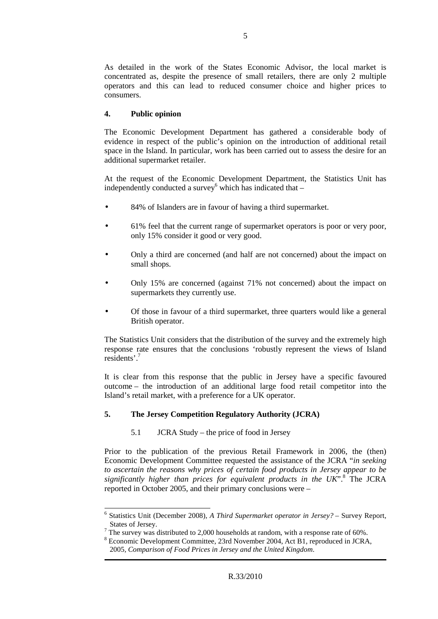As detailed in the work of the States Economic Advisor, the local market is concentrated as, despite the presence of small retailers, there are only 2 multiple operators and this can lead to reduced consumer choice and higher prices to consumers.

#### **4. Public opinion**

The Economic Development Department has gathered a considerable body of evidence in respect of the public's opinion on the introduction of additional retail space in the Island. In particular, work has been carried out to assess the desire for an additional supermarket retailer.

At the request of the Economic Development Department, the Statistics Unit has independently conducted a survey which has indicated that  $-$ 

- 84% of Islanders are in favour of having a third supermarket.
- 61% feel that the current range of supermarket operators is poor or very poor, only 15% consider it good or very good.
- Only a third are concerned (and half are not concerned) about the impact on small shops.
- Only 15% are concerned (against 71% not concerned) about the impact on supermarkets they currently use.
- Of those in favour of a third supermarket, three quarters would like a general British operator.

The Statistics Unit considers that the distribution of the survey and the extremely high response rate ensures that the conclusions 'robustly represent the views of Island residents'.<sup>7</sup>

It is clear from this response that the public in Jersey have a specific favoured outcome – the introduction of an additional large food retail competitor into the Island's retail market, with a preference for a UK operator.

#### **5. The Jersey Competition Regulatory Authority (JCRA)**

5.1 JCRA Study – the price of food in Jersey

Prior to the publication of the previous Retail Framework in 2006, the (then) Economic Development Committee requested the assistance of the JCRA "*in seeking to ascertain the reasons why prices of certain food products in Jersey appear to be*  significantly higher than prices for equivalent products in the UK".<sup>8</sup> The JCRA reported in October 2005, and their primary conclusions were –

 6 Statistics Unit (December 2008), *A Third Supermarket operator in Jersey?* – Survey Report, States of Jersey.

<sup>&</sup>lt;sup>7</sup> The survey was distributed to 2,000 households at random, with a response rate of 60%.

<sup>&</sup>lt;sup>8</sup> Economic Development Committee, 23rd November 2004, Act B1, reproduced in JCRA, 2005*, Comparison of Food Prices in Jersey and the United Kingdom*.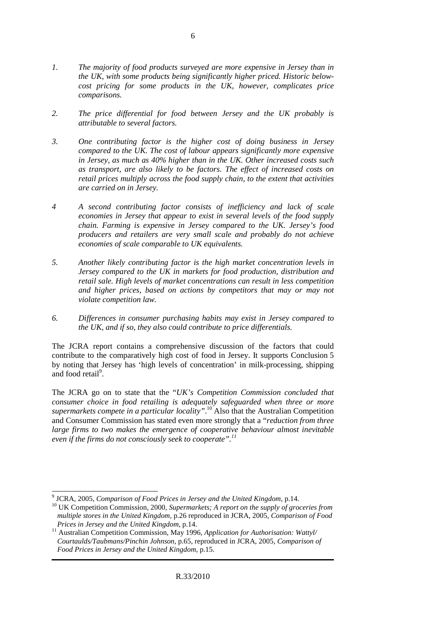- *1. The majority of food products surveyed are more expensive in Jersey than in the UK, with some products being significantly higher priced. Historic belowcost pricing for some products in the UK, however, complicates price comparisons.*
- *2. The price differential for food between Jersey and the UK probably is attributable to several factors.*
- *3. One contributing factor is the higher cost of doing business in Jersey compared to the UK. The cost of labour appears significantly more expensive in Jersey, as much as 40% higher than in the UK. Other increased costs such as transport, are also likely to be factors. The effect of increased costs on retail prices multiply across the food supply chain, to the extent that activities are carried on in Jersey.*
- *4 A second contributing factor consists of inefficiency and lack of scale economies in Jersey that appear to exist in several levels of the food supply chain. Farming is expensive in Jersey compared to the UK. Jersey's food producers and retailers are very small scale and probably do not achieve economies of scale comparable to UK equivalents.*
- *5. Another likely contributing factor is the high market concentration levels in Jersey compared to the UK in markets for food production, distribution and retail sale. High levels of market concentrations can result in less competition and higher prices, based on actions by competitors that may or may not violate competition law.*
- *6. Differences in consumer purchasing habits may exist in Jersey compared to the UK, and if so, they also could contribute to price differentials.*

The JCRA report contains a comprehensive discussion of the factors that could contribute to the comparatively high cost of food in Jersey. It supports Conclusion 5 by noting that Jersey has 'high levels of concentration' in milk-processing, shipping and food retail<sup>9</sup>.

The JCRA go on to state that the "*UK's Competition Commission concluded that consumer choice in food retailing is adequately safeguarded when three or more supermarkets compete in a particular locality"*. <sup>10</sup> Also that the Australian Competition and Consumer Commission has stated even more strongly that a "*reduction from three large firms to two makes the emergence of cooperative behaviour almost inevitable even if the firms do not consciously seek to cooperate".<sup>11</sup>*

 9 JCRA, 2005*, Comparison of Food Prices in Jersey and the United Kingdom*, p.14.

<sup>10</sup> UK Competition Commission, 2000*, Supermarkets; A report on the supply of groceries from multiple stores in the United Kingdom*, p.26 reproduced in JCRA, 2005*, Comparison of Food Prices in Jersey and the United Kingdom*, p.14.

<sup>11</sup> Australian Competition Commission, May 1996, *Application for Authorisation: Wattyl/ Courtaulds/Taubmans/Pinchin Johnson*, p.65, reproduced in JCRA, 2005*, Comparison of Food Prices in Jersey and the United Kingdom*, p.15.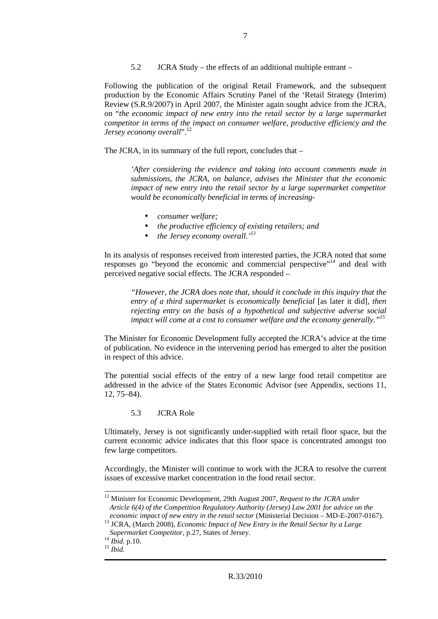5.2 JCRA Study – the effects of an additional multiple entrant –

Following the publication of the original Retail Framework, and the subsequent production by the Economic Affairs Scrutiny Panel of the 'Retail Strategy (Interim) Review (S.R.9/2007) in April 2007, the Minister again sought advice from the JCRA, on "*the economic impact of new entry into the retail sector by a large supermarket competitor in terms of the impact on consumer welfare, productive efficiency and the Jersey economy overall*".<sup>12</sup>

The JCRA, in its summary of the full report, concludes that –

*'After considering the evidence and taking into account comments made in submissions, the JCRA, on balance, advises the Minister that the economic impact of new entry into the retail sector by a large supermarket competitor would be economically beneficial in terms of increasing-* 

- *consumer welfare;*
- *the productive efficiency of existing retailers; and*
- *the Jersey economy overall.'<sup>13</sup>*

In its analysis of responses received from interested parties, the JCRA noted that some responses go "beyond the economic and commercial perspective"<sup>14</sup> and deal with perceived negative social effects. The JCRA responded –

*"However, the JCRA does note that, should it conclude in this inquiry that the entry of a third supermarket is economically beneficial* [as later it did], then *rejecting entry on the basis of a hypothetical and subjective adverse social impact will come at a cost to consumer welfare and the economy generally."<sup>15</sup>*

The Minister for Economic Development fully accepted the JCRA's advice at the time of publication. No evidence in the intervening period has emerged to alter the position in respect of this advice.

The potential social effects of the entry of a new large food retail competitor are addressed in the advice of the States Economic Advisor (see Appendix, sections 11, 12, 75–84).

5.3 JCRA Role

Ultimately, Jersey is not significantly under-supplied with retail floor space, but the current economic advice indicates that this floor space is concentrated amongst too few large competitors.

Accordingly, the Minister will continue to work with the JCRA to resolve the current issues of excessive market concentration in the food retail sector.

 $\overline{a}$ 

<sup>&</sup>lt;sup>12</sup> Minister for Economic Development, 29th August 2007, *Request to the JCRA under Article 6(4) of the Competition Regulatory Authority (Jersey) Law 2001 for advice on the economic impact of new entry in the retail sector* (Ministerial Decision – MD-E-2007-0167).

<sup>&</sup>lt;sup>13</sup> JCRA, (March 2008), *Economic Impact of New Entry in the Retail Sector by a Large Supermarket Competitor*, p.27, States of Jersey.

<sup>14</sup> *Ibid.* p.10.

 $^{15}$  *Ibid.*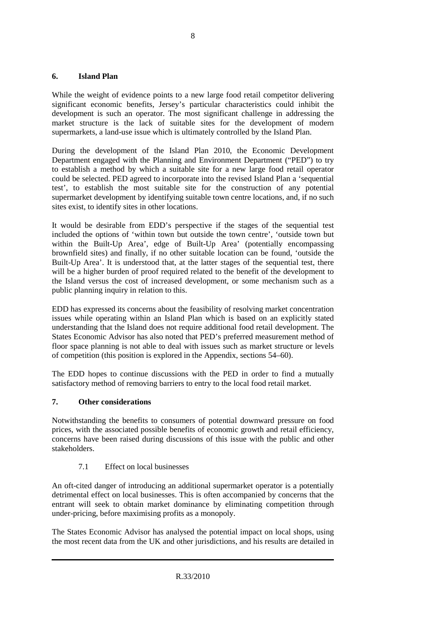#### **6. Island Plan**

While the weight of evidence points to a new large food retail competitor delivering significant economic benefits, Jersey's particular characteristics could inhibit the development is such an operator. The most significant challenge in addressing the market structure is the lack of suitable sites for the development of modern supermarkets, a land-use issue which is ultimately controlled by the Island Plan.

During the development of the Island Plan 2010, the Economic Development Department engaged with the Planning and Environment Department ("PED") to try to establish a method by which a suitable site for a new large food retail operator could be selected. PED agreed to incorporate into the revised Island Plan a 'sequential test', to establish the most suitable site for the construction of any potential supermarket development by identifying suitable town centre locations, and, if no such sites exist, to identify sites in other locations.

It would be desirable from EDD's perspective if the stages of the sequential test included the options of 'within town but outside the town centre', 'outside town but within the Built-Up Area', edge of Built-Up Area' (potentially encompassing brownfield sites) and finally, if no other suitable location can be found, 'outside the Built-Up Area'. It is understood that, at the latter stages of the sequential test, there will be a higher burden of proof required related to the benefit of the development to the Island versus the cost of increased development, or some mechanism such as a public planning inquiry in relation to this.

EDD has expressed its concerns about the feasibility of resolving market concentration issues while operating within an Island Plan which is based on an explicitly stated understanding that the Island does not require additional food retail development. The States Economic Advisor has also noted that PED's preferred measurement method of floor space planning is not able to deal with issues such as market structure or levels of competition (this position is explored in the Appendix, sections 54–60).

The EDD hopes to continue discussions with the PED in order to find a mutually satisfactory method of removing barriers to entry to the local food retail market.

#### **7. Other considerations**

Notwithstanding the benefits to consumers of potential downward pressure on food prices, with the associated possible benefits of economic growth and retail efficiency, concerns have been raised during discussions of this issue with the public and other stakeholders.

7.1 Effect on local businesses

An oft-cited danger of introducing an additional supermarket operator is a potentially detrimental effect on local businesses. This is often accompanied by concerns that the entrant will seek to obtain market dominance by eliminating competition through under-pricing, before maximising profits as a monopoly.

The States Economic Advisor has analysed the potential impact on local shops, using the most recent data from the UK and other jurisdictions, and his results are detailed in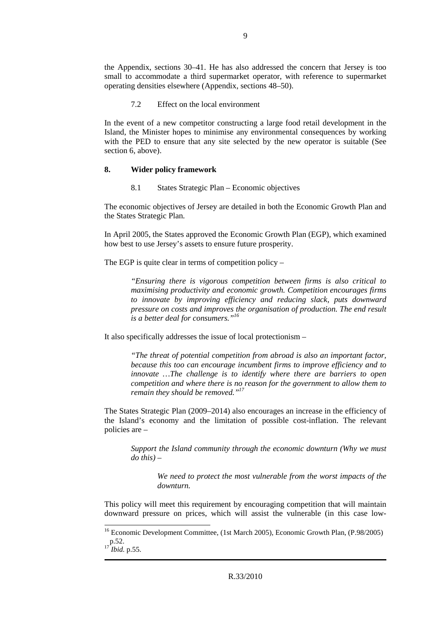the Appendix, sections 30–41. He has also addressed the concern that Jersey is too small to accommodate a third supermarket operator, with reference to supermarket operating densities elsewhere (Appendix, sections 48–50).

7.2 Effect on the local environment

In the event of a new competitor constructing a large food retail development in the Island, the Minister hopes to minimise any environmental consequences by working with the PED to ensure that any site selected by the new operator is suitable (See section 6, above).

#### **8. Wider policy framework**

8.1 States Strategic Plan – Economic objectives

The economic objectives of Jersey are detailed in both the Economic Growth Plan and the States Strategic Plan.

In April 2005, the States approved the Economic Growth Plan (EGP), which examined how best to use Jersey's assets to ensure future prosperity.

The EGP is quite clear in terms of competition policy –

*"Ensuring there is vigorous competition between firms is also critical to maximising productivity and economic growth. Competition encourages firms to innovate by improving efficiency and reducing slack, puts downward pressure on costs and improves the organisation of production. The end result is a better deal for consumers."<sup>16</sup>*

It also specifically addresses the issue of local protectionism –

*"The threat of potential competition from abroad is also an important factor, because this too can encourage incumbent firms to improve efficiency and to innovate …The challenge is to identify where there are barriers to open competition and where there is no reason for the government to allow them to remain they should be removed."<sup>17</sup>*

The States Strategic Plan (2009–2014) also encourages an increase in the efficiency of the Island's economy and the limitation of possible cost-inflation. The relevant policies are –

*Support the Island community through the economic downturn (Why we must do this) –* 

> *We need to protect the most vulnerable from the worst impacts of the downturn.*

This policy will meet this requirement by encouraging competition that will maintain downward pressure on prices, which will assist the vulnerable (in this case low-

 $\overline{a}$ 

<sup>&</sup>lt;sup>16</sup> Economic Development Committee, (1st March 2005), Economic Growth Plan, (P.98/2005)  $p.52.$ 

*Ibid.* p.55.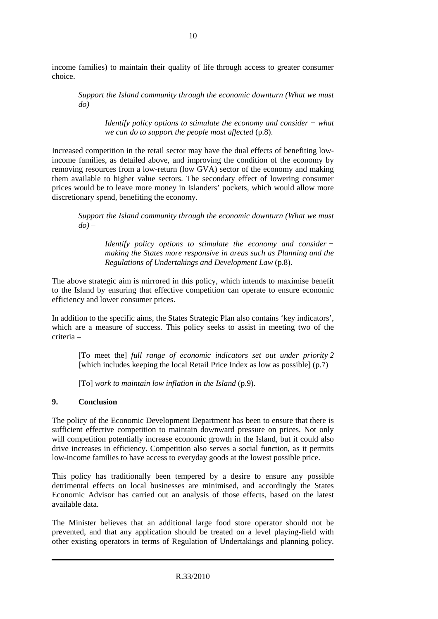income families) to maintain their quality of life through access to greater consumer choice.

*Support the Island community through the economic downturn (What we must*   $d\theta$ ) –

*Identify policy options to stimulate the economy and consider − what we can do to support the people most affected* (p.8).

Increased competition in the retail sector may have the dual effects of benefiting lowincome families, as detailed above, and improving the condition of the economy by removing resources from a low-return (low GVA) sector of the economy and making them available to higher value sectors. The secondary effect of lowering consumer prices would be to leave more money in Islanders' pockets, which would allow more discretionary spend, benefiting the economy.

*Support the Island community through the economic downturn (What we must*   $d\theta$ ) –

*Identify policy options to stimulate the economy and consider − making the States more responsive in areas such as Planning and the Regulations of Undertakings and Development Law* (p.8).

The above strategic aim is mirrored in this policy, which intends to maximise benefit to the Island by ensuring that effective competition can operate to ensure economic efficiency and lower consumer prices.

In addition to the specific aims, the States Strategic Plan also contains 'key indicators', which are a measure of success. This policy seeks to assist in meeting two of the criteria –

[To meet the] *full range of economic indicators set out under priority 2*  [which includes keeping the local Retail Price Index as low as possible] (p.7)

[To] *work to maintain low inflation in the Island* (p.9).

#### **9. Conclusion**

The policy of the Economic Development Department has been to ensure that there is sufficient effective competition to maintain downward pressure on prices. Not only will competition potentially increase economic growth in the Island, but it could also drive increases in efficiency. Competition also serves a social function, as it permits low-income families to have access to everyday goods at the lowest possible price.

This policy has traditionally been tempered by a desire to ensure any possible detrimental effects on local businesses are minimised, and accordingly the States Economic Advisor has carried out an analysis of those effects, based on the latest available data.

The Minister believes that an additional large food store operator should not be prevented, and that any application should be treated on a level playing-field with other existing operators in terms of Regulation of Undertakings and planning policy.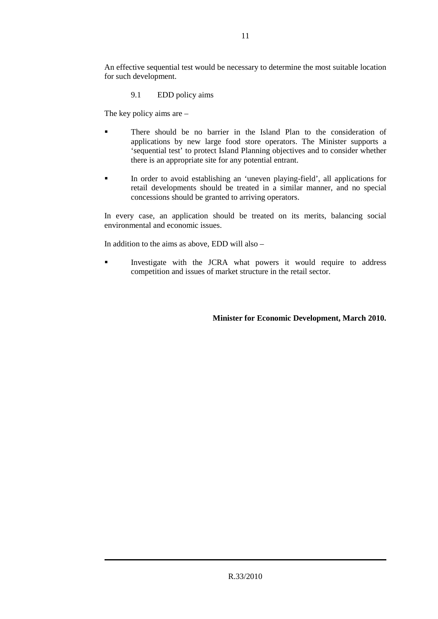An effective sequential test would be necessary to determine the most suitable location for such development.

9.1 EDD policy aims

The key policy aims are –

- There should be no barrier in the Island Plan to the consideration of applications by new large food store operators. The Minister supports a 'sequential test' to protect Island Planning objectives and to consider whether there is an appropriate site for any potential entrant.
- In order to avoid establishing an 'uneven playing-field', all applications for retail developments should be treated in a similar manner, and no special concessions should be granted to arriving operators.

In every case, an application should be treated on its merits, balancing social environmental and economic issues.

In addition to the aims as above, EDD will also –

 Investigate with the JCRA what powers it would require to address competition and issues of market structure in the retail sector.

**Minister for Economic Development, March 2010.**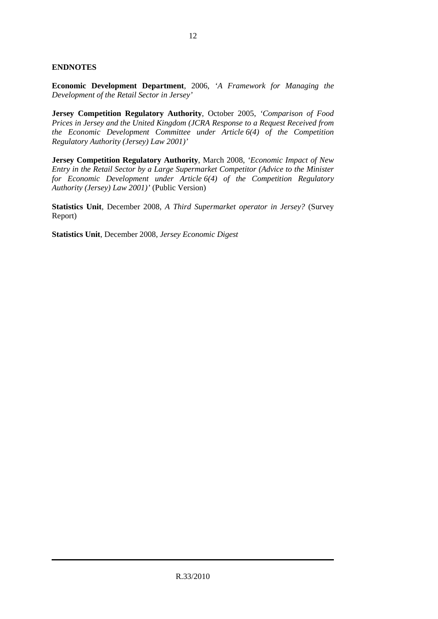#### **ENDNOTES**

**Economic Development Department**, 2006, *'A Framework for Managing the Development of the Retail Sector in Jersey'*

**Jersey Competition Regulatory Authority**, October 2005, *'Comparison of Food Prices in Jersey and the United Kingdom (JCRA Response to a Request Received from the Economic Development Committee under Article 6(4) of the Competition Regulatory Authority (Jersey) Law 2001)'*

**Jersey Competition Regulatory Authority**, March 2008, *'Economic Impact of New Entry in the Retail Sector by a Large Supermarket Competitor (Advice to the Minister for Economic Development under Article 6(4) of the Competition Regulatory Authority (Jersey) Law 2001)'* (Public Version)

**Statistics Unit**, December 2008, *A Third Supermarket operator in Jersey?* (Survey Report)

**Statistics Unit**, December 2008, *Jersey Economic Digest*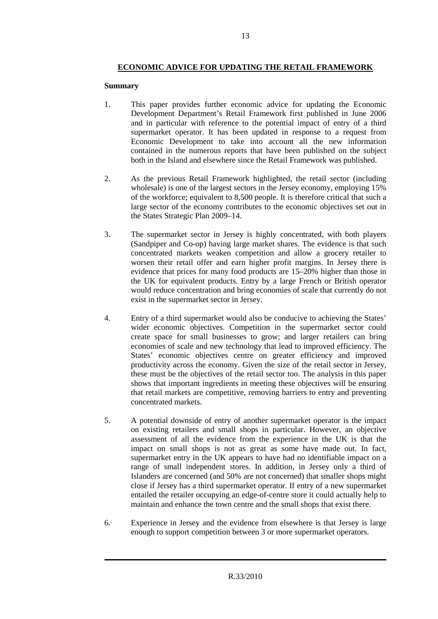# **ECONOMIC ADVICE FOR UPDATING THE RETAIL FRAMEWORK**

#### **Summary**

- 1. This paper provides further economic advice for updating the Economic Development Department's Retail Framework first published in June 2006 and in particular with reference to the potential impact of entry of a third supermarket operator. It has been updated in response to a request from Economic Development to take into account all the new information contained in the numerous reports that have been published on the subject both in the Island and elsewhere since the Retail Framework was published.
- 2. As the previous Retail Framework highlighted, the retail sector (including wholesale) is one of the largest sectors in the Jersey economy, employing 15% of the workforce; equivalent to 8,500 people. It is therefore critical that such a large sector of the economy contributes to the economic objectives set out in the States Strategic Plan 2009–14.
- 3. The supermarket sector in Jersey is highly concentrated, with both players (Sandpiper and Co-op) having large market shares. The evidence is that such concentrated markets weaken competition and allow a grocery retailer to worsen their retail offer and earn higher profit margins. In Jersey there is evidence that prices for many food products are 15–20% higher than those in the UK for equivalent products. Entry by a large French or British operator would reduce concentration and bring economies of scale that currently do not exist in the supermarket sector in Jersey.
- 4. Entry of a third supermarket would also be conducive to achieving the States' wider economic objectives. Competition in the supermarket sector could create space for small businesses to grow; and larger retailers can bring economies of scale and new technology that lead to improved efficiency. The States' economic objectives centre on greater efficiency and improved productivity across the economy. Given the size of the retail sector in Jersey, these must be the objectives of the retail sector too. The analysis in this paper shows that important ingredients in meeting these objectives will be ensuring that retail markets are competitive, removing barriers to entry and preventing concentrated markets.
- 5. A potential downside of entry of another supermarket operator is the impact on existing retailers and small shops in particular. However, an objective assessment of all the evidence from the experience in the UK is that the impact on small shops is not as great as some have made out. In fact, supermarket entry in the UK appears to have had no identifiable impact on a range of small independent stores. In addition, in Jersey only a third of Islanders are concerned (and 50% are not concerned) that smaller shops might close if Jersey has a third supermarket operator. If entry of a new supermarket entailed the retailer occupying an edge-of-centre store it could actually help to maintain and enhance the town centre and the small shops that exist there.
- 6. Experience in Jersey and the evidence from elsewhere is that Jersey is large enough to support competition between 3 or more supermarket operators.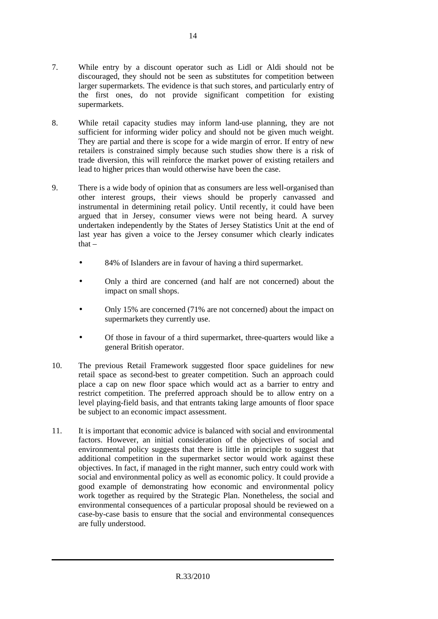- 7. While entry by a discount operator such as Lidl or Aldi should not be discouraged, they should not be seen as substitutes for competition between larger supermarkets. The evidence is that such stores, and particularly entry of the first ones, do not provide significant competition for existing supermarkets.
- 8. While retail capacity studies may inform land-use planning, they are not sufficient for informing wider policy and should not be given much weight. They are partial and there is scope for a wide margin of error. If entry of new retailers is constrained simply because such studies show there is a risk of trade diversion, this will reinforce the market power of existing retailers and lead to higher prices than would otherwise have been the case.
- 9. There is a wide body of opinion that as consumers are less well-organised than other interest groups, their views should be properly canvassed and instrumental in determining retail policy. Until recently, it could have been argued that in Jersey, consumer views were not being heard. A survey undertaken independently by the States of Jersey Statistics Unit at the end of last year has given a voice to the Jersey consumer which clearly indicates that –
	- 84% of Islanders are in favour of having a third supermarket.
	- Only a third are concerned (and half are not concerned) about the impact on small shops.
	- Only 15% are concerned (71% are not concerned) about the impact on supermarkets they currently use.
	- Of those in favour of a third supermarket, three-quarters would like a general British operator.
- 10. The previous Retail Framework suggested floor space guidelines for new retail space as second-best to greater competition. Such an approach could place a cap on new floor space which would act as a barrier to entry and restrict competition. The preferred approach should be to allow entry on a level playing-field basis, and that entrants taking large amounts of floor space be subject to an economic impact assessment.
- 11. It is important that economic advice is balanced with social and environmental factors. However, an initial consideration of the objectives of social and environmental policy suggests that there is little in principle to suggest that additional competition in the supermarket sector would work against these objectives. In fact, if managed in the right manner, such entry could work with social and environmental policy as well as economic policy. It could provide a good example of demonstrating how economic and environmental policy work together as required by the Strategic Plan. Nonetheless, the social and environmental consequences of a particular proposal should be reviewed on a case-by-case basis to ensure that the social and environmental consequences are fully understood.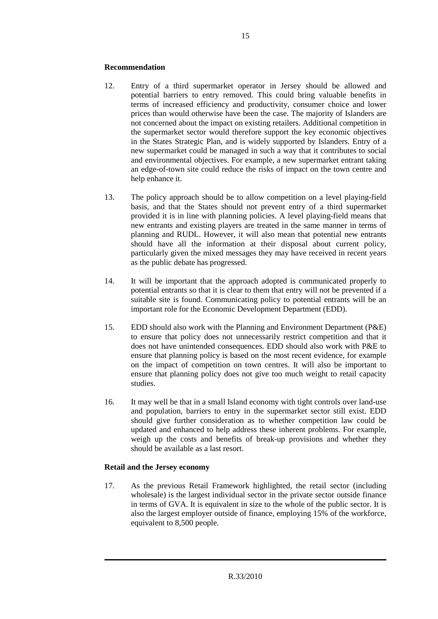#### **Recommendation**

- 12. Entry of a third supermarket operator in Jersey should be allowed and potential barriers to entry removed. This could bring valuable benefits in terms of increased efficiency and productivity, consumer choice and lower prices than would otherwise have been the case. The majority of Islanders are not concerned about the impact on existing retailers. Additional competition in the supermarket sector would therefore support the key economic objectives in the States Strategic Plan, and is widely supported by Islanders. Entry of a new supermarket could be managed in such a way that it contributes to social and environmental objectives. For example, a new supermarket entrant taking an edge-of-town site could reduce the risks of impact on the town centre and help enhance it.
- 13. The policy approach should be to allow competition on a level playing-field basis, and that the States should not prevent entry of a third supermarket provided it is in line with planning policies. A level playing-field means that new entrants and existing players are treated in the same manner in terms of planning and RUDL. However, it will also mean that potential new entrants should have all the information at their disposal about current policy, particularly given the mixed messages they may have received in recent years as the public debate has progressed.
- 14. It will be important that the approach adopted is communicated properly to potential entrants so that it is clear to them that entry will not be prevented if a suitable site is found. Communicating policy to potential entrants will be an important role for the Economic Development Department (EDD).
- 15. EDD should also work with the Planning and Environment Department (P&E) to ensure that policy does not unnecessarily restrict competition and that it does not have unintended consequences. EDD should also work with P&E to ensure that planning policy is based on the most recent evidence, for example on the impact of competition on town centres. It will also be important to ensure that planning policy does not give too much weight to retail capacity studies.
- 16. It may well be that in a small Island economy with tight controls over land-use and population, barriers to entry in the supermarket sector still exist. EDD should give further consideration as to whether competition law could be updated and enhanced to help address these inherent problems. For example, weigh up the costs and benefits of break-up provisions and whether they should be available as a last resort.

#### **Retail and the Jersey economy**

17. As the previous Retail Framework highlighted, the retail sector (including wholesale) is the largest individual sector in the private sector outside finance in terms of GVA. It is equivalent in size to the whole of the public sector. It is also the largest employer outside of finance, employing 15% of the workforce, equivalent to 8,500 people.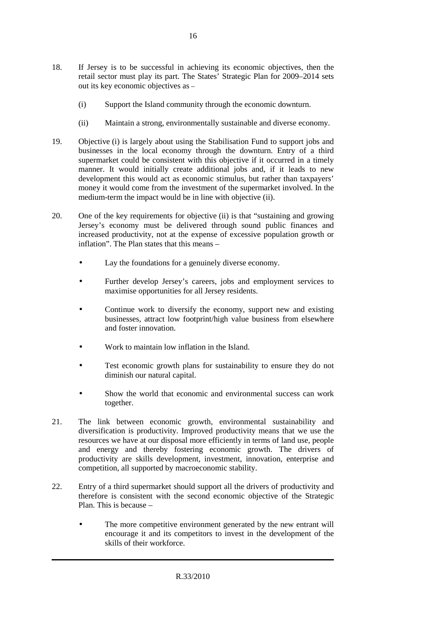- 18. If Jersey is to be successful in achieving its economic objectives, then the retail sector must play its part. The States' Strategic Plan for 2009–2014 sets out its key economic objectives as –
	- (i) Support the Island community through the economic downturn.
	- (ii) Maintain a strong, environmentally sustainable and diverse economy.
- 19. Objective (i) is largely about using the Stabilisation Fund to support jobs and businesses in the local economy through the downturn. Entry of a third supermarket could be consistent with this objective if it occurred in a timely manner. It would initially create additional jobs and, if it leads to new development this would act as economic stimulus, but rather than taxpayers' money it would come from the investment of the supermarket involved. In the medium-term the impact would be in line with objective (ii).
- 20. One of the key requirements for objective (ii) is that "sustaining and growing Jersey's economy must be delivered through sound public finances and increased productivity, not at the expense of excessive population growth or inflation". The Plan states that this means –
	- Lay the foundations for a genuinely diverse economy.
	- Further develop Jersey's careers, jobs and employment services to maximise opportunities for all Jersey residents.
	- Continue work to diversify the economy, support new and existing businesses, attract low footprint/high value business from elsewhere and foster innovation.
	- Work to maintain low inflation in the Island.
	- Test economic growth plans for sustainability to ensure they do not diminish our natural capital.
	- Show the world that economic and environmental success can work together.
- 21. The link between economic growth, environmental sustainability and diversification is productivity. Improved productivity means that we use the resources we have at our disposal more efficiently in terms of land use, people and energy and thereby fostering economic growth. The drivers of productivity are skills development, investment, innovation, enterprise and competition, all supported by macroeconomic stability.
- 22. Entry of a third supermarket should support all the drivers of productivity and therefore is consistent with the second economic objective of the Strategic Plan. This is because –
	- The more competitive environment generated by the new entrant will encourage it and its competitors to invest in the development of the skills of their workforce.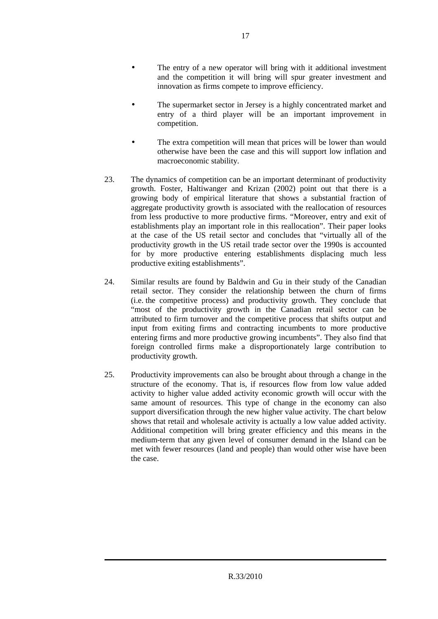- The entry of a new operator will bring with it additional investment and the competition it will bring will spur greater investment and innovation as firms compete to improve efficiency.
- The supermarket sector in Jersey is a highly concentrated market and entry of a third player will be an important improvement in competition.
- The extra competition will mean that prices will be lower than would otherwise have been the case and this will support low inflation and macroeconomic stability.
- 23. The dynamics of competition can be an important determinant of productivity growth. Foster, Haltiwanger and Krizan (2002) point out that there is a growing body of empirical literature that shows a substantial fraction of aggregate productivity growth is associated with the reallocation of resources from less productive to more productive firms. "Moreover, entry and exit of establishments play an important role in this reallocation". Their paper looks at the case of the US retail sector and concludes that "virtually all of the productivity growth in the US retail trade sector over the 1990s is accounted for by more productive entering establishments displacing much less productive exiting establishments".
- 24. Similar results are found by Baldwin and Gu in their study of the Canadian retail sector. They consider the relationship between the churn of firms (i.e. the competitive process) and productivity growth. They conclude that "most of the productivity growth in the Canadian retail sector can be attributed to firm turnover and the competitive process that shifts output and input from exiting firms and contracting incumbents to more productive entering firms and more productive growing incumbents". They also find that foreign controlled firms make a disproportionately large contribution to productivity growth.
- 25. Productivity improvements can also be brought about through a change in the structure of the economy. That is, if resources flow from low value added activity to higher value added activity economic growth will occur with the same amount of resources. This type of change in the economy can also support diversification through the new higher value activity. The chart below shows that retail and wholesale activity is actually a low value added activity. Additional competition will bring greater efficiency and this means in the medium-term that any given level of consumer demand in the Island can be met with fewer resources (land and people) than would other wise have been the case.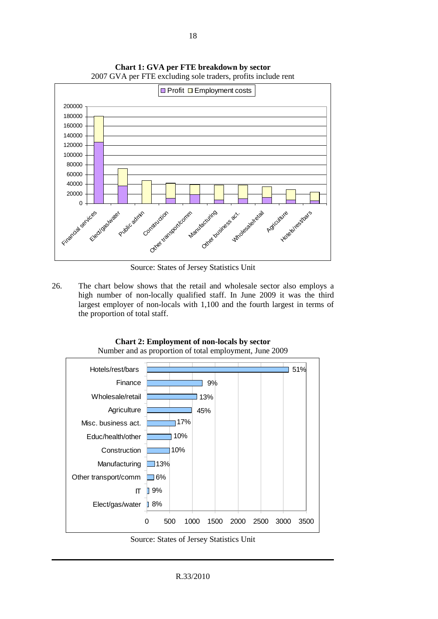

**Chart 1: GVA per FTE breakdown by sector**  2007 GVA per FTE excluding sole traders, profits include rent

Source: States of Jersey Statistics Unit

26. The chart below shows that the retail and wholesale sector also employs a high number of non-locally qualified staff. In June 2009 it was the third largest employer of non-locals with 1,100 and the fourth largest in terms of the proportion of total staff.



**Chart 2: Employment of non-locals by sector**  Number and as proportion of total employment, June 2009

Source: States of Jersey Statistics Unit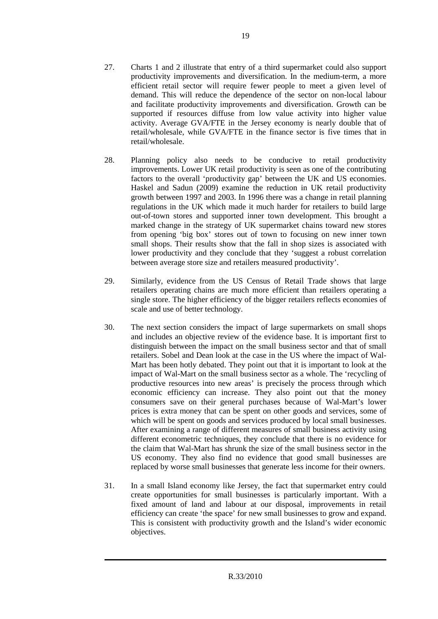- 27. Charts 1 and 2 illustrate that entry of a third supermarket could also support productivity improvements and diversification. In the medium-term, a more efficient retail sector will require fewer people to meet a given level of demand. This will reduce the dependence of the sector on non-local labour and facilitate productivity improvements and diversification. Growth can be supported if resources diffuse from low value activity into higher value activity. Average GVA/FTE in the Jersey economy is nearly double that of retail/wholesale, while GVA/FTE in the finance sector is five times that in retail/wholesale.
- 28. Planning policy also needs to be conducive to retail productivity improvements. Lower UK retail productivity is seen as one of the contributing factors to the overall 'productivity gap' between the UK and US economies. Haskel and Sadun (2009) examine the reduction in UK retail productivity growth between 1997 and 2003. In 1996 there was a change in retail planning regulations in the UK which made it much harder for retailers to build large out-of-town stores and supported inner town development. This brought a marked change in the strategy of UK supermarket chains toward new stores from opening 'big box' stores out of town to focusing on new inner town small shops. Their results show that the fall in shop sizes is associated with lower productivity and they conclude that they 'suggest a robust correlation between average store size and retailers measured productivity'.
- 29. Similarly, evidence from the US Census of Retail Trade shows that large retailers operating chains are much more efficient than retailers operating a single store. The higher efficiency of the bigger retailers reflects economies of scale and use of better technology.
- 30. The next section considers the impact of large supermarkets on small shops and includes an objective review of the evidence base. It is important first to distinguish between the impact on the small business sector and that of small retailers. Sobel and Dean look at the case in the US where the impact of Wal-Mart has been hotly debated. They point out that it is important to look at the impact of Wal-Mart on the small business sector as a whole. The 'recycling of productive resources into new areas' is precisely the process through which economic efficiency can increase. They also point out that the money consumers save on their general purchases because of Wal-Mart's lower prices is extra money that can be spent on other goods and services, some of which will be spent on goods and services produced by local small businesses. After examining a range of different measures of small business activity using different econometric techniques, they conclude that there is no evidence for the claim that Wal-Mart has shrunk the size of the small business sector in the US economy. They also find no evidence that good small businesses are replaced by worse small businesses that generate less income for their owners.
- 31. In a small Island economy like Jersey, the fact that supermarket entry could create opportunities for small businesses is particularly important. With a fixed amount of land and labour at our disposal, improvements in retail efficiency can create 'the space' for new small businesses to grow and expand. This is consistent with productivity growth and the Island's wider economic objectives.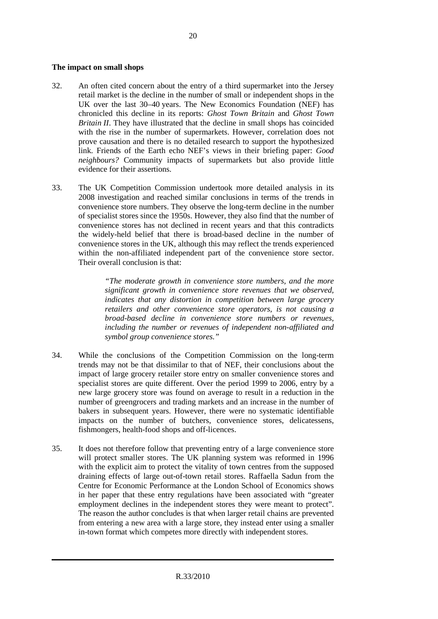#### **The impact on small shops**

- 32. An often cited concern about the entry of a third supermarket into the Jersey retail market is the decline in the number of small or independent shops in the UK over the last 30–40 years. The New Economics Foundation (NEF) has chronicled this decline in its reports: *Ghost Town Britain* and *Ghost Town Britain II*. They have illustrated that the decline in small shops has coincided with the rise in the number of supermarkets. However, correlation does not prove causation and there is no detailed research to support the hypothesized link. Friends of the Earth echo NEF's views in their briefing paper: *Good neighbours?* Community impacts of supermarkets but also provide little evidence for their assertions.
- 33. The UK Competition Commission undertook more detailed analysis in its 2008 investigation and reached similar conclusions in terms of the trends in convenience store numbers. They observe the long-term decline in the number of specialist stores since the 1950s. However, they also find that the number of convenience stores has not declined in recent years and that this contradicts the widely-held belief that there is broad-based decline in the number of convenience stores in the UK, although this may reflect the trends experienced within the non-affiliated independent part of the convenience store sector. Their overall conclusion is that:

*"The moderate growth in convenience store numbers, and the more significant growth in convenience store revenues that we observed, indicates that any distortion in competition between large grocery retailers and other convenience store operators, is not causing a broad-based decline in convenience store numbers or revenues, including the number or revenues of independent non-affiliated and symbol group convenience stores."* 

- 34. While the conclusions of the Competition Commission on the long-term trends may not be that dissimilar to that of NEF, their conclusions about the impact of large grocery retailer store entry on smaller convenience stores and specialist stores are quite different. Over the period 1999 to 2006, entry by a new large grocery store was found on average to result in a reduction in the number of greengrocers and trading markets and an increase in the number of bakers in subsequent years. However, there were no systematic identifiable impacts on the number of butchers, convenience stores, delicatessens, fishmongers, health-food shops and off-licences.
- 35. It does not therefore follow that preventing entry of a large convenience store will protect smaller stores. The UK planning system was reformed in 1996 with the explicit aim to protect the vitality of town centres from the supposed draining effects of large out-of-town retail stores. Raffaella Sadun from the Centre for Economic Performance at the London School of Economics shows in her paper that these entry regulations have been associated with "greater employment declines in the independent stores they were meant to protect". The reason the author concludes is that when larger retail chains are prevented from entering a new area with a large store, they instead enter using a smaller in-town format which competes more directly with independent stores.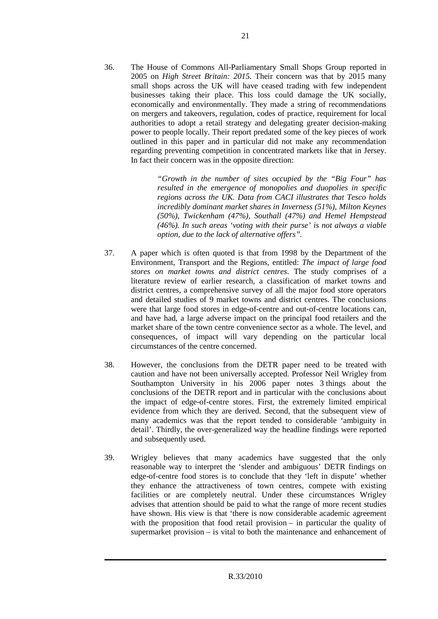36. The House of Commons All-Parliamentary Small Shops Group reported in 2005 on *High Street Britain: 2015*. Their concern was that by 2015 many small shops across the UK will have ceased trading with few independent businesses taking their place. This loss could damage the UK socially, economically and environmentally. They made a string of recommendations on mergers and takeovers, regulation, codes of practice, requirement for local authorities to adopt a retail strategy and delegating greater decision-making power to people locally. Their report predated some of the key pieces of work outlined in this paper and in particular did not make any recommendation regarding preventing competition in concentrated markets like that in Jersey. In fact their concern was in the opposite direction:

> *"Growth in the number of sites occupied by the "Big Four" has resulted in the emergence of monopolies and duopolies in specific regions across the UK. Data from CACI illustrates that Tesco holds incredibly dominant market shares in Inverness (51%), Milton Keynes (50%), Twickenham (47%), Southall (47%) and Hemel Hempstead (46%). In such areas 'voting with their purse' is not always a viable option, due to the lack of alternative offers".*

- 37. A paper which is often quoted is that from 1998 by the Department of the Environment, Transport and the Regions, entitled: *The impact of large food stores on market towns and district centres*. The study comprises of a literature review of earlier research, a classification of market towns and district centres, a comprehensive survey of all the major food store operators and detailed studies of 9 market towns and district centres. The conclusions were that large food stores in edge-of-centre and out-of-centre locations can, and have had, a large adverse impact on the principal food retailers and the market share of the town centre convenience sector as a whole. The level, and consequences, of impact will vary depending on the particular local circumstances of the centre concerned.
- 38. However, the conclusions from the DETR paper need to be treated with caution and have not been universally accepted. Professor Neil Wrigley from Southampton University in his 2006 paper notes 3 things about the conclusions of the DETR report and in particular with the conclusions about the impact of edge-of-centre stores. First, the extremely limited empirical evidence from which they are derived. Second, that the subsequent view of many academics was that the report tended to considerable 'ambiguity in detail'. Thirdly, the over-generalized way the headline findings were reported and subsequently used.
- 39. Wrigley believes that many academics have suggested that the only reasonable way to interpret the 'slender and ambiguous' DETR findings on edge-of-centre food stores is to conclude that they 'left in dispute' whether they enhance the attractiveness of town centres, compete with existing facilities or are completely neutral. Under these circumstances Wrigley advises that attention should be paid to what the range of more recent studies have shown. His view is that 'there is now considerable academic agreement with the proposition that food retail provision – in particular the quality of supermarket provision – is vital to both the maintenance and enhancement of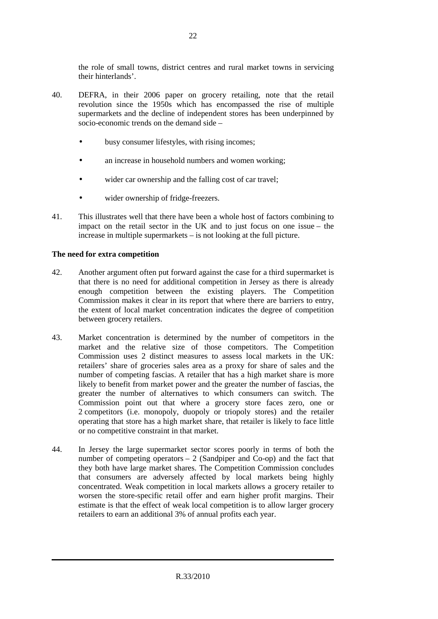the role of small towns, district centres and rural market towns in servicing their hinterlands'.

- 40. DEFRA, in their 2006 paper on grocery retailing, note that the retail revolution since the 1950s which has encompassed the rise of multiple supermarkets and the decline of independent stores has been underpinned by socio-economic trends on the demand side –
	- busy consumer lifestyles, with rising incomes;
	- an increase in household numbers and women working:
	- wider car ownership and the falling cost of car travel;
	- wider ownership of fridge-freezers.
- 41. This illustrates well that there have been a whole host of factors combining to impact on the retail sector in the UK and to just focus on one issue – the increase in multiple supermarkets – is not looking at the full picture.

#### **The need for extra competition**

- 42. Another argument often put forward against the case for a third supermarket is that there is no need for additional competition in Jersey as there is already enough competition between the existing players. The Competition Commission makes it clear in its report that where there are barriers to entry, the extent of local market concentration indicates the degree of competition between grocery retailers.
- 43. Market concentration is determined by the number of competitors in the market and the relative size of those competitors. The Competition Commission uses 2 distinct measures to assess local markets in the UK: retailers' share of groceries sales area as a proxy for share of sales and the number of competing fascias. A retailer that has a high market share is more likely to benefit from market power and the greater the number of fascias, the greater the number of alternatives to which consumers can switch. The Commission point out that where a grocery store faces zero, one or 2 competitors (i.e. monopoly, duopoly or triopoly stores) and the retailer operating that store has a high market share, that retailer is likely to face little or no competitive constraint in that market.
- 44. In Jersey the large supermarket sector scores poorly in terms of both the number of competing operators  $-2$  (Sandpiper and Co-op) and the fact that they both have large market shares. The Competition Commission concludes that consumers are adversely affected by local markets being highly concentrated. Weak competition in local markets allows a grocery retailer to worsen the store-specific retail offer and earn higher profit margins. Their estimate is that the effect of weak local competition is to allow larger grocery retailers to earn an additional 3% of annual profits each year.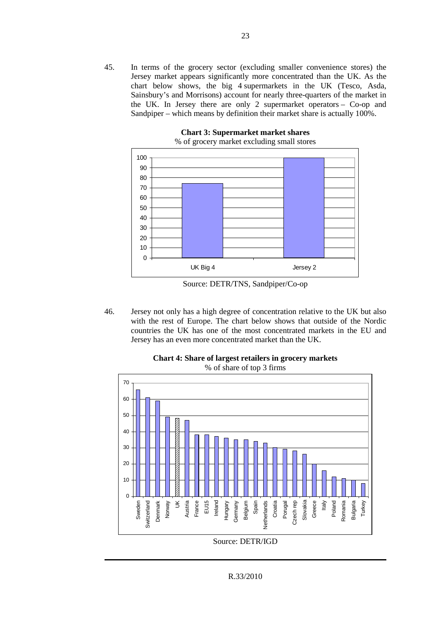45. In terms of the grocery sector (excluding smaller convenience stores) the Jersey market appears significantly more concentrated than the UK. As the chart below shows, the big 4 supermarkets in the UK (Tesco, Asda, Sainsbury's and Morrisons) account for nearly three-quarters of the market in the UK. In Jersey there are only 2 supermarket operators – Co-op and Sandpiper – which means by definition their market share is actually 100%.



**Chart 3: Supermarket market shares**  % of grocery market excluding small stores

Source: DETR/TNS, Sandpiper/Co-op

46. Jersey not only has a high degree of concentration relative to the UK but also with the rest of Europe. The chart below shows that outside of the Nordic countries the UK has one of the most concentrated markets in the EU and Jersey has an even more concentrated market than the UK.



**Chart 4: Share of largest retailers in grocery markets**  % of share of top 3 firms

R.33/2010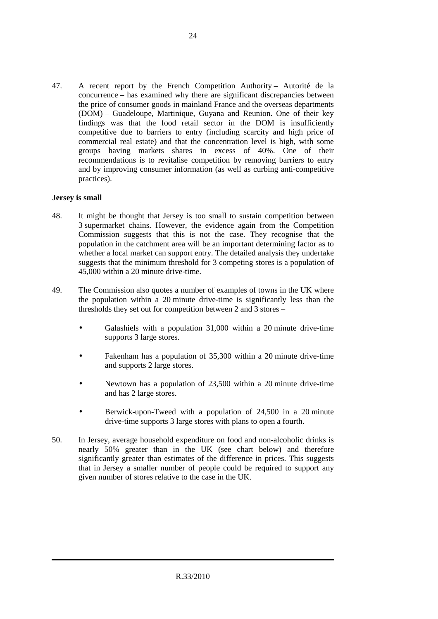47. A recent report by the French Competition Authority – Autorité de la concurrence – has examined why there are significant discrepancies between the price of consumer goods in mainland France and the overseas departments (DOM) – Guadeloupe, Martinique, Guyana and Reunion. One of their key findings was that the food retail sector in the DOM is insufficiently competitive due to barriers to entry (including scarcity and high price of commercial real estate) and that the concentration level is high, with some groups having markets shares in excess of 40%. One of their recommendations is to revitalise competition by removing barriers to entry and by improving consumer information (as well as curbing anti-competitive practices).

#### **Jersey is small**

- 48. It might be thought that Jersey is too small to sustain competition between 3 supermarket chains. However, the evidence again from the Competition Commission suggests that this is not the case. They recognise that the population in the catchment area will be an important determining factor as to whether a local market can support entry. The detailed analysis they undertake suggests that the minimum threshold for 3 competing stores is a population of 45,000 within a 20 minute drive-time.
- 49. The Commission also quotes a number of examples of towns in the UK where the population within a 20 minute drive-time is significantly less than the thresholds they set out for competition between 2 and 3 stores –
	- Galashiels with a population 31,000 within a 20 minute drive-time supports 3 large stores.
	- Fakenham has a population of 35,300 within a 20 minute drive-time and supports 2 large stores.
	- Newtown has a population of 23,500 within a 20 minute drive-time and has 2 large stores.
	- Berwick-upon-Tweed with a population of 24,500 in a 20 minute drive-time supports 3 large stores with plans to open a fourth.
- 50. In Jersey, average household expenditure on food and non-alcoholic drinks is nearly 50% greater than in the UK (see chart below) and therefore significantly greater than estimates of the difference in prices. This suggests that in Jersey a smaller number of people could be required to support any given number of stores relative to the case in the UK.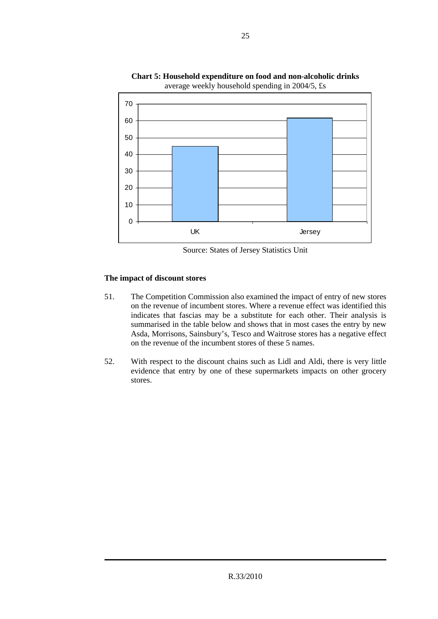

**Chart 5: Household expenditure on food and non-alcoholic drinks**  average weekly household spending in 2004/5, £s

Source: States of Jersey Statistics Unit

### **The impact of discount stores**

- 51. The Competition Commission also examined the impact of entry of new stores on the revenue of incumbent stores. Where a revenue effect was identified this indicates that fascias may be a substitute for each other. Their analysis is summarised in the table below and shows that in most cases the entry by new Asda, Morrisons, Sainsbury's, Tesco and Waitrose stores has a negative effect on the revenue of the incumbent stores of these 5 names.
- 52. With respect to the discount chains such as Lidl and Aldi, there is very little evidence that entry by one of these supermarkets impacts on other grocery stores.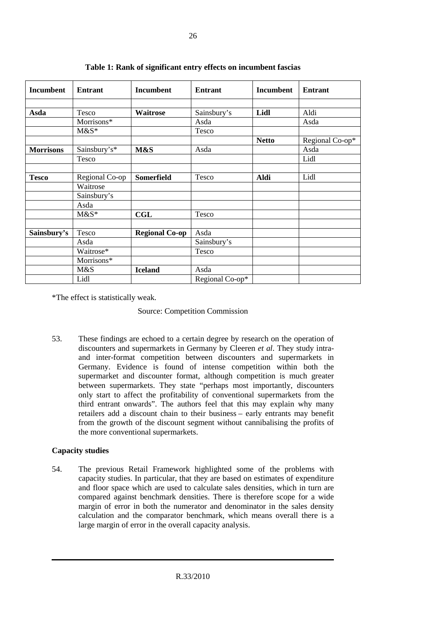| Incumbent        | <b>Entrant</b> | <b>Incumbent</b>      | <b>Entrant</b>  | <b>Incumbent</b> | <b>Entrant</b>  |
|------------------|----------------|-----------------------|-----------------|------------------|-----------------|
|                  |                |                       |                 |                  |                 |
| Asda             | Tesco          | Waitrose              | Sainsbury's     | Lidl             | Aldi            |
|                  | Morrisons*     |                       | Asda            |                  | Asda            |
|                  | $M&S^*$        |                       | Tesco           |                  |                 |
|                  |                |                       |                 | <b>Netto</b>     | Regional Co-op* |
| <b>Morrisons</b> | Sainsbury's*   | M&S                   | Asda            |                  | Asda            |
|                  | Tesco          |                       |                 |                  | Lidl            |
|                  |                |                       |                 |                  |                 |
| <b>Tesco</b>     | Regional Co-op | <b>Somerfield</b>     | Tesco           | Aldi             | Lidl            |
|                  | Waitrose       |                       |                 |                  |                 |
|                  | Sainsbury's    |                       |                 |                  |                 |
|                  | Asda           |                       |                 |                  |                 |
|                  | $M&S*$         | <b>CGL</b>            | Tesco           |                  |                 |
|                  |                |                       |                 |                  |                 |
| Sainsbury's      | Tesco          | <b>Regional Co-op</b> | Asda            |                  |                 |
|                  | Asda           |                       | Sainsbury's     |                  |                 |
|                  | Waitrose*      |                       | Tesco           |                  |                 |
|                  | Morrisons*     |                       |                 |                  |                 |
|                  | M&S            | <b>Iceland</b>        | Asda            |                  |                 |
|                  | Lidl           |                       | Regional Co-op* |                  |                 |

**Table 1: Rank of significant entry effects on incumbent fascias** 

\*The effect is statistically weak.

#### Source: Competition Commission

53. These findings are echoed to a certain degree by research on the operation of discounters and supermarkets in Germany by Cleeren *et al*. They study intraand inter-format competition between discounters and supermarkets in Germany. Evidence is found of intense competition within both the supermarket and discounter format, although competition is much greater between supermarkets. They state "perhaps most importantly, discounters only start to affect the profitability of conventional supermarkets from the third entrant onwards". The authors feel that this may explain why many retailers add a discount chain to their business – early entrants may benefit from the growth of the discount segment without cannibalising the profits of the more conventional supermarkets.

# **Capacity studies**

54. The previous Retail Framework highlighted some of the problems with capacity studies. In particular, that they are based on estimates of expenditure and floor space which are used to calculate sales densities, which in turn are compared against benchmark densities. There is therefore scope for a wide margin of error in both the numerator and denominator in the sales density calculation and the comparator benchmark, which means overall there is a large margin of error in the overall capacity analysis.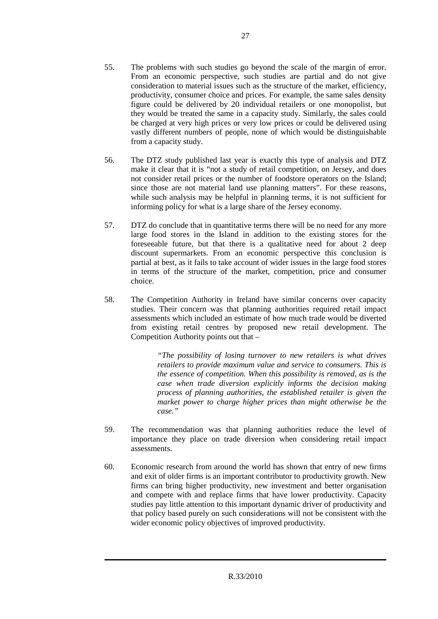- 55. The problems with such studies go beyond the scale of the margin of error. From an economic perspective, such studies are partial and do not give consideration to material issues such as the structure of the market, efficiency, productivity, consumer choice and prices. For example, the same sales density figure could be delivered by 20 individual retailers or one monopolist, but they would be treated the same in a capacity study. Similarly, the sales could be charged at very high prices or very low prices or could be delivered using vastly different numbers of people, none of which would be distinguishable from a capacity study.
- 56. The DTZ study published last year is exactly this type of analysis and DTZ make it clear that it is "not a study of retail competition, on Jersey, and does not consider retail prices or the number of foodstore operators on the Island; since those are not material land use planning matters". For these reasons, while such analysis may be helpful in planning terms, it is not sufficient for informing policy for what is a large share of the Jersey economy.
- 57. DTZ do conclude that in quantitative terms there will be no need for any more large food stores in the Island in addition to the existing stores for the foreseeable future, but that there is a qualitative need for about 2 deep discount supermarkets. From an economic perspective this conclusion is partial at best, as it fails to take account of wider issues in the large food stores in terms of the structure of the market, competition, price and consumer choice.
- 58. The Competition Authority in Ireland have similar concerns over capacity studies. Their concern was that planning authorities required retail impact assessments which included an estimate of how much trade would be diverted from existing retail centres by proposed new retail development. The Competition Authority points out that –

*"The possibility of losing turnover to new retailers is what drives retailers to provide maximum value and service to consumers. This is the essence of competition. When this possibility is removed, as is the case when trade diversion explicitly informs the decision making process of planning authorities, the established retailer is given the market power to charge higher prices than might otherwise be the case."* 

- 59. The recommendation was that planning authorities reduce the level of importance they place on trade diversion when considering retail impact assessments.
- 60. Economic research from around the world has shown that entry of new firms and exit of older firms is an important contributor to productivity growth. New firms can bring higher productivity, new investment and better organisation and compete with and replace firms that have lower productivity. Capacity studies pay little attention to this important dynamic driver of productivity and that policy based purely on such considerations will not be consistent with the wider economic policy objectives of improved productivity.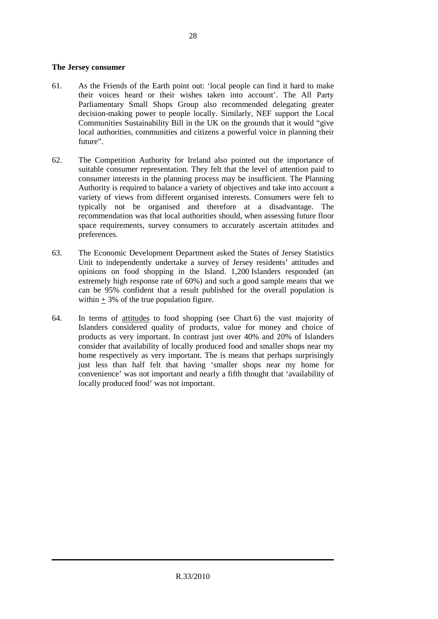#### **The Jersey consumer**

- 61. As the Friends of the Earth point out: 'local people can find it hard to make their voices heard or their wishes taken into account'. The All Party Parliamentary Small Shops Group also recommended delegating greater decision-making power to people locally. Similarly, NEF support the Local Communities Sustainability Bill in the UK on the grounds that it would "give local authorities, communities and citizens a powerful voice in planning their future".
- 62. The Competition Authority for Ireland also pointed out the importance of suitable consumer representation. They felt that the level of attention paid to consumer interests in the planning process may be insufficient. The Planning Authority is required to balance a variety of objectives and take into account a variety of views from different organised interests. Consumers were felt to typically not be organised and therefore at a disadvantage. The recommendation was that local authorities should, when assessing future floor space requirements, survey consumers to accurately ascertain attitudes and preferences.
- 63. The Economic Development Department asked the States of Jersey Statistics Unit to independently undertake a survey of Jersey residents' attitudes and opinions on food shopping in the Island. 1,200 Islanders responded (an extremely high response rate of 60%) and such a good sample means that we can be 95% confident that a result published for the overall population is within  $\pm$  3% of the true population figure.
- 64. In terms of attitudes to food shopping (see Chart 6) the vast majority of Islanders considered quality of products, value for money and choice of products as very important. In contrast just over 40% and 20% of Islanders consider that availability of locally produced food and smaller shops near my home respectively as very important. The is means that perhaps surprisingly just less than half felt that having 'smaller shops near my home for convenience' was not important and nearly a fifth thought that 'availability of locally produced food' was not important.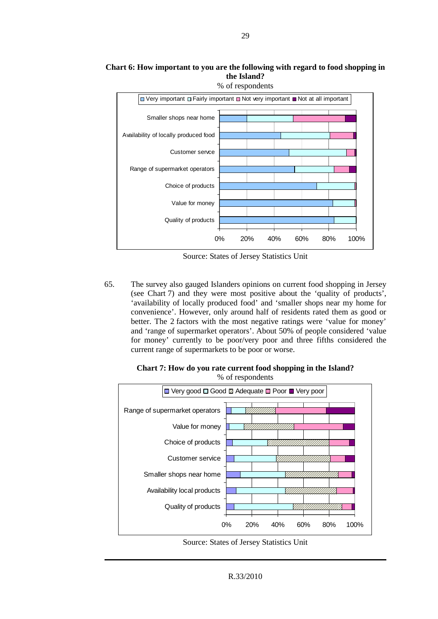# **Chart 6: How important to you are the following with regard to food shopping in the Island?**



Source: States of Jersey Statistics Unit

65. The survey also gauged Islanders opinions on current food shopping in Jersey (see Chart 7) and they were most positive about the 'quality of products', 'availability of locally produced food' and 'smaller shops near my home for convenience'. However, only around half of residents rated them as good or better. The 2 factors with the most negative ratings were 'value for money' and 'range of supermarket operators'. About 50% of people considered 'value for money' currently to be poor/very poor and three fifths considered the current range of supermarkets to be poor or worse.



**Chart 7: How do you rate current food shopping in the Island?**  % of respondents

Source: States of Jersey Statistics Unit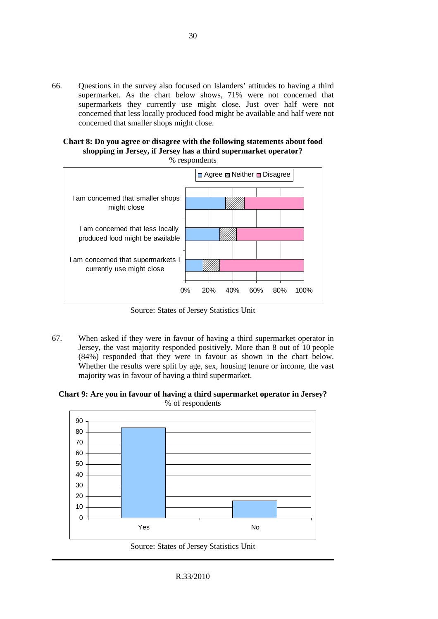66. Questions in the survey also focused on Islanders' attitudes to having a third supermarket. As the chart below shows, 71% were not concerned that supermarkets they currently use might close. Just over half were not concerned that less locally produced food might be available and half were not concerned that smaller shops might close.

# **Chart 8: Do you agree or disagree with the following statements about food shopping in Jersey, if Jersey has a third supermarket operator?**



Source: States of Jersey Statistics Unit

67. When asked if they were in favour of having a third supermarket operator in Jersey, the vast majority responded positively. More than 8 out of 10 people (84%) responded that they were in favour as shown in the chart below. Whether the results were split by age, sex, housing tenure or income, the vast majority was in favour of having a third supermarket.

**Chart 9: Are you in favour of having a third supermarket operator in Jersey?**  % of respondents



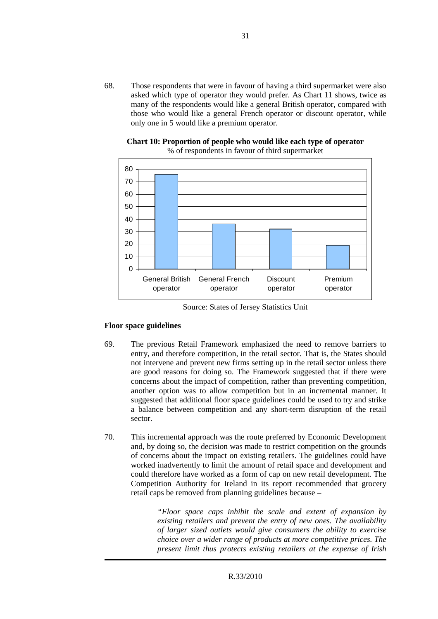68. Those respondents that were in favour of having a third supermarket were also asked which type of operator they would prefer. As Chart 11 shows, twice as many of the respondents would like a general British operator, compared with those who would like a general French operator or discount operator, while only one in 5 would like a premium operator.





Source: States of Jersey Statistics Unit

#### **Floor space guidelines**

- 69. The previous Retail Framework emphasized the need to remove barriers to entry, and therefore competition, in the retail sector. That is, the States should not intervene and prevent new firms setting up in the retail sector unless there are good reasons for doing so. The Framework suggested that if there were concerns about the impact of competition, rather than preventing competition, another option was to allow competition but in an incremental manner. It suggested that additional floor space guidelines could be used to try and strike a balance between competition and any short-term disruption of the retail sector.
- 70. This incremental approach was the route preferred by Economic Development and, by doing so, the decision was made to restrict competition on the grounds of concerns about the impact on existing retailers. The guidelines could have worked inadvertently to limit the amount of retail space and development and could therefore have worked as a form of cap on new retail development. The Competition Authority for Ireland in its report recommended that grocery retail caps be removed from planning guidelines because –

*"Floor space caps inhibit the scale and extent of expansion by existing retailers and prevent the entry of new ones. The availability of larger sized outlets would give consumers the ability to exercise choice over a wider range of products at more competitive prices. The present limit thus protects existing retailers at the expense of Irish*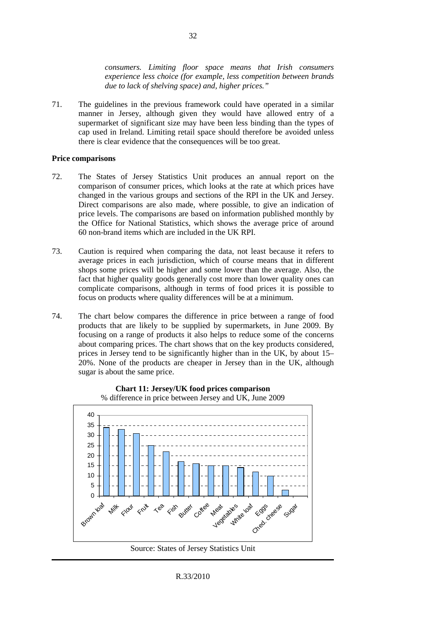*consumers. Limiting floor space means that Irish consumers experience less choice (for example, less competition between brands due to lack of shelving space) and, higher prices."*

71. The guidelines in the previous framework could have operated in a similar manner in Jersey, although given they would have allowed entry of a supermarket of significant size may have been less binding than the types of cap used in Ireland. Limiting retail space should therefore be avoided unless there is clear evidence that the consequences will be too great.

#### **Price comparisons**

- 72. The States of Jersey Statistics Unit produces an annual report on the comparison of consumer prices, which looks at the rate at which prices have changed in the various groups and sections of the RPI in the UK and Jersey. Direct comparisons are also made, where possible, to give an indication of price levels. The comparisons are based on information published monthly by the Office for National Statistics, which shows the average price of around 60 non-brand items which are included in the UK RPI.
- 73. Caution is required when comparing the data, not least because it refers to average prices in each jurisdiction, which of course means that in different shops some prices will be higher and some lower than the average. Also, the fact that higher quality goods generally cost more than lower quality ones can complicate comparisons, although in terms of food prices it is possible to focus on products where quality differences will be at a minimum.
- 74. The chart below compares the difference in price between a range of food products that are likely to be supplied by supermarkets, in June 2009. By focusing on a range of products it also helps to reduce some of the concerns about comparing prices. The chart shows that on the key products considered, prices in Jersey tend to be significantly higher than in the UK, by about 15– 20%. None of the products are cheaper in Jersey than in the UK, although sugar is about the same price.



**Chart 11: Jersey/UK food prices comparison**  % difference in price between Jersey and UK, June 2009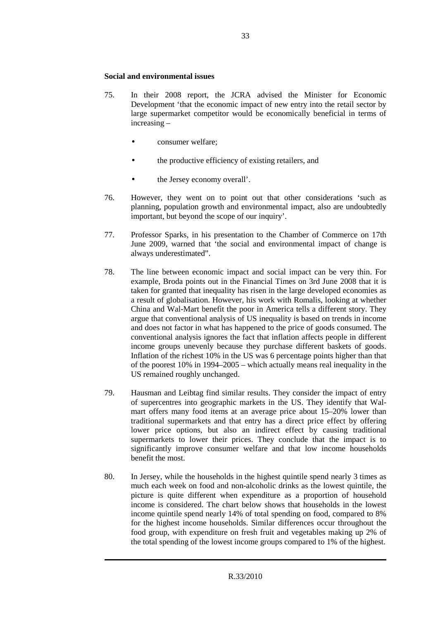#### **Social and environmental issues**

- 75. In their 2008 report, the JCRA advised the Minister for Economic Development 'that the economic impact of new entry into the retail sector by large supermarket competitor would be economically beneficial in terms of increasing –
	- consumer welfare;
	- the productive efficiency of existing retailers, and
	- the Jersey economy overall'.
- 76. However, they went on to point out that other considerations 'such as planning, population growth and environmental impact, also are undoubtedly important, but beyond the scope of our inquiry'.
- 77. Professor Sparks, in his presentation to the Chamber of Commerce on 17th June 2009, warned that 'the social and environmental impact of change is always underestimated".
- 78. The line between economic impact and social impact can be very thin. For example, Broda points out in the Financial Times on 3rd June 2008 that it is taken for granted that inequality has risen in the large developed economies as a result of globalisation. However, his work with Romalis, looking at whether China and Wal-Mart benefit the poor in America tells a different story. They argue that conventional analysis of US inequality is based on trends in income and does not factor in what has happened to the price of goods consumed. The conventional analysis ignores the fact that inflation affects people in different income groups unevenly because they purchase different baskets of goods. Inflation of the richest 10% in the US was 6 percentage points higher than that of the poorest 10% in 1994–2005 – which actually means real inequality in the US remained roughly unchanged.
- 79. Hausman and Leibtag find similar results. They consider the impact of entry of supercentres into geographic markets in the US. They identify that Walmart offers many food items at an average price about 15–20% lower than traditional supermarkets and that entry has a direct price effect by offering lower price options, but also an indirect effect by causing traditional supermarkets to lower their prices. They conclude that the impact is to significantly improve consumer welfare and that low income households benefit the most.
- 80. In Jersey, while the households in the highest quintile spend nearly 3 times as much each week on food and non-alcoholic drinks as the lowest quintile, the picture is quite different when expenditure as a proportion of household income is considered. The chart below shows that households in the lowest income quintile spend nearly 14% of total spending on food, compared to 8% for the highest income households. Similar differences occur throughout the food group, with expenditure on fresh fruit and vegetables making up 2% of the total spending of the lowest income groups compared to 1% of the highest.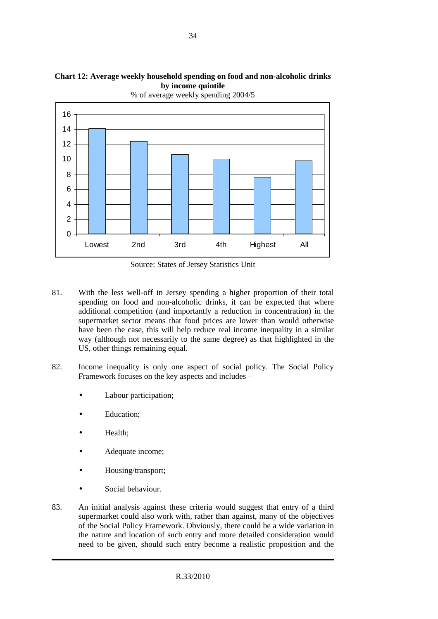

**Chart 12: Average weekly household spending on food and non-alcoholic drinks by income quintile** 

Source: States of Jersey Statistics Unit

- 81. With the less well-off in Jersey spending a higher proportion of their total spending on food and non-alcoholic drinks, it can be expected that where additional competition (and importantly a reduction in concentration) in the supermarket sector means that food prices are lower than would otherwise have been the case, this will help reduce real income inequality in a similar way (although not necessarily to the same degree) as that highlighted in the US, other things remaining equal.
- 82. Income inequality is only one aspect of social policy. The Social Policy Framework focuses on the key aspects and includes –
	- Labour participation;
	- Education;
	- Health;
	- Adequate income;
	- Housing/transport;
	- Social behaviour.
- 83. An initial analysis against these criteria would suggest that entry of a third supermarket could also work with, rather than against, many of the objectives of the Social Policy Framework. Obviously, there could be a wide variation in the nature and location of such entry and more detailed consideration would need to be given, should such entry become a realistic proposition and the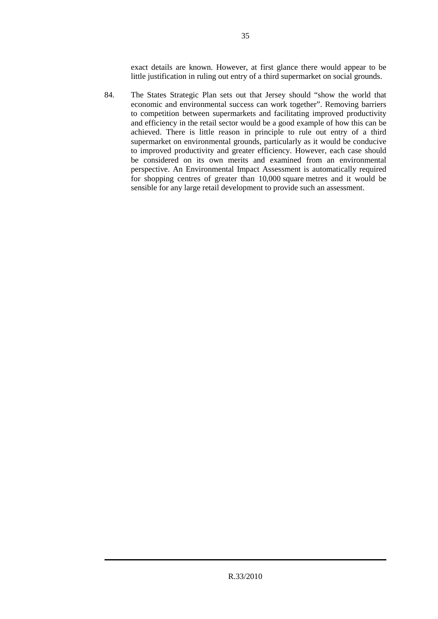exact details are known. However, at first glance there would appear to be little justification in ruling out entry of a third supermarket on social grounds.

84. The States Strategic Plan sets out that Jersey should "show the world that economic and environmental success can work together". Removing barriers to competition between supermarkets and facilitating improved productivity and efficiency in the retail sector would be a good example of how this can be achieved. There is little reason in principle to rule out entry of a third supermarket on environmental grounds, particularly as it would be conducive to improved productivity and greater efficiency. However, each case should be considered on its own merits and examined from an environmental perspective. An Environmental Impact Assessment is automatically required for shopping centres of greater than 10,000 square metres and it would be sensible for any large retail development to provide such an assessment.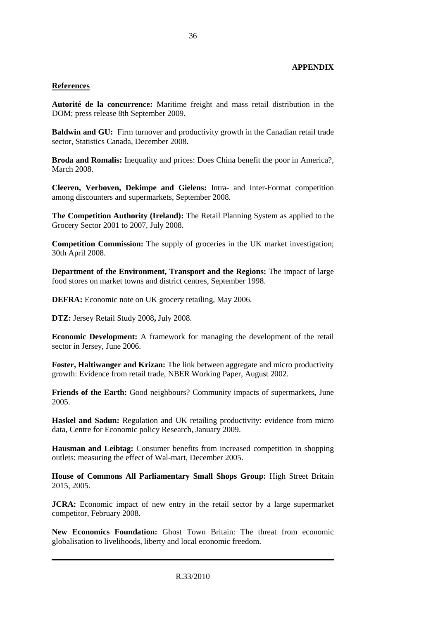#### **APPENDIX**

#### **References**

**Autorité de la concurrence:** Maritime freight and mass retail distribution in the DOM; press release 8th September 2009.

**Baldwin and GU:** Firm turnover and productivity growth in the Canadian retail trade sector, Statistics Canada, December 2008**.** 

**Broda and Romalis:** Inequality and prices: Does China benefit the poor in America?, March 2008.

**Cleeren, Verboven, Dekimpe and Gielens:** Intra- and Inter-Format competition among discounters and supermarkets, September 2008.

**The Competition Authority (Ireland):** The Retail Planning System as applied to the Grocery Sector 2001 to 2007, July 2008.

**Competition Commission:** The supply of groceries in the UK market investigation; 30th April 2008.

**Department of the Environment, Transport and the Regions:** The impact of large food stores on market towns and district centres, September 1998.

**DEFRA:** Economic note on UK grocery retailing, May 2006.

**DTZ:** Jersey Retail Study 2008**,** July 2008.

**Economic Development:** A framework for managing the development of the retail sector in Jersey, June 2006.

**Foster, Haltiwanger and Krizan:** The link between aggregate and micro productivity growth: Evidence from retail trade, NBER Working Paper, August 2002.

**Friends of the Earth:** Good neighbours? Community impacts of supermarkets**,** June 2005.

**Haskel and Sadun:** Regulation and UK retailing productivity: evidence from micro data, Centre for Economic policy Research, January 2009.

**Hausman and Leibtag:** Consumer benefits from increased competition in shopping outlets: measuring the effect of Wal-mart, December 2005.

**House of Commons All Parliamentary Small Shops Group:** High Street Britain 2015, 2005.

**JCRA:** Economic impact of new entry in the retail sector by a large supermarket competitor, February 2008.

**New Economics Foundation:** Ghost Town Britain: The threat from economic globalisation to livelihoods, liberty and local economic freedom.